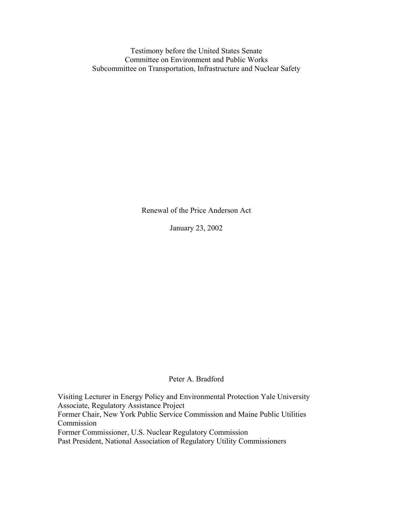Testimony before the United States Senate Committee on Environment and Public Works Subcommittee on Transportation, Infrastructure and Nuclear Safety

Renewal of the Price Anderson Act

January 23, 2002

## Peter A. Bradford

Visiting Lecturer in Energy Policy and Environmental Protection Yale University Associate, Regulatory Assistance Project Former Chair, New York Public Service Commission and Maine Public Utilities Commission Former Commissioner, U.S. Nuclear Regulatory Commission Past President, National Association of Regulatory Utility Commissioners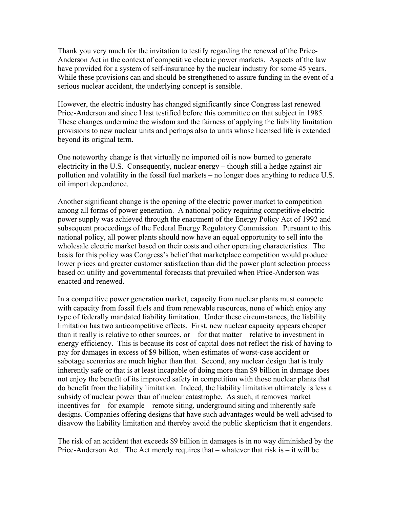Thank you very much for the invitation to testify regarding the renewal of the Price-Anderson Act in the context of competitive electric power markets. Aspects of the law have provided for a system of self-insurance by the nuclear industry for some 45 years. While these provisions can and should be strengthened to assure funding in the event of a serious nuclear accident, the underlying concept is sensible.

However, the electric industry has changed significantly since Congress last renewed Price-Anderson and since I last testified before this committee on that subject in 1985. These changes undermine the wisdom and the fairness of applying the liability limitation provisions to new nuclear units and perhaps also to units whose licensed life is extended beyond its original term.

One noteworthy change is that virtually no imported oil is now burned to generate electricity in the U.S. Consequently, nuclear energy – though still a hedge against air pollution and volatility in the fossil fuel markets – no longer does anything to reduce U.S. oil import dependence.

Another significant change is the opening of the electric power market to competition among all forms of power generation. A national policy requiring competitive electric power supply was achieved through the enactment of the Energy Policy Act of 1992 and subsequent proceedings of the Federal Energy Regulatory Commission. Pursuant to this national policy, all power plants should now have an equal opportunity to sell into the wholesale electric market based on their costs and other operating characteristics. The basis for this policy was Congress's belief that marketplace competition would produce lower prices and greater customer satisfaction than did the power plant selection process based on utility and governmental forecasts that prevailed when Price-Anderson was enacted and renewed.

In a competitive power generation market, capacity from nuclear plants must compete with capacity from fossil fuels and from renewable resources, none of which enjoy any type of federally mandated liability limitation. Under these circumstances, the liability limitation has two anticompetitive effects. First, new nuclear capacity appears cheaper than it really is relative to other sources, or – for that matter – relative to investment in energy efficiency. This is because its cost of capital does not reflect the risk of having to pay for damages in excess of \$9 billion, when estimates of worst-case accident or sabotage scenarios are much higher than that. Second, any nuclear design that is truly inherently safe or that is at least incapable of doing more than \$9 billion in damage does not enjoy the benefit of its improved safety in competition with those nuclear plants that do benefit from the liability limitation. Indeed, the liability limitation ultimately is less a subsidy of nuclear power than of nuclear catastrophe. As such, it removes market incentives for – for example – remote siting, underground siting and inherently safe designs. Companies offering designs that have such advantages would be well advised to disavow the liability limitation and thereby avoid the public skepticism that it engenders.

The risk of an accident that exceeds \$9 billion in damages is in no way diminished by the Price-Anderson Act. The Act merely requires that – whatever that risk is – it will be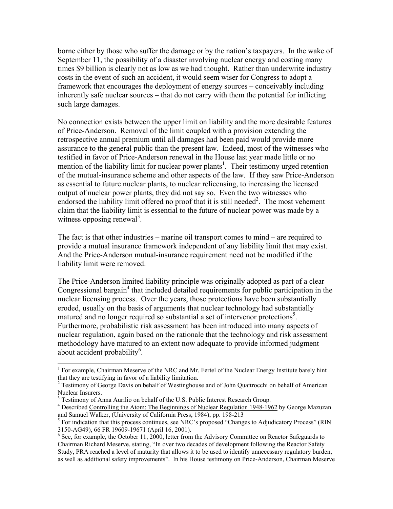borne either by those who suffer the damage or by the nation's taxpayers. In the wake of September 11, the possibility of a disaster involving nuclear energy and costing many times \$9 billion is clearly not as low as we had thought. Rather than underwrite industry costs in the event of such an accident, it would seem wiser for Congress to adopt a framework that encourages the deployment of energy sources – conceivably including inherently safe nuclear sources – that do not carry with them the potential for inflicting such large damages.

No connection exists between the upper limit on liability and the more desirable features of Price-Anderson. Removal of the limit coupled with a provision extending the retrospective annual premium until all damages had been paid would provide more assurance to the general public than the present law. Indeed, most of the witnesses who testified in favor of Price-Anderson renewal in the House last year made little or no mention of the liability limit for nuclear power plants<sup>1</sup>. Their testimony urged retention of the mutual-insurance scheme and other aspects of the law. If they saw Price-Anderson as essential to future nuclear plants, to nuclear relicensing, to increasing the licensed output of nuclear power plants, they did not say so. Even the two witnesses who endorsed the liability limit offered no proof that it is still needed<sup>2</sup>. The most vehement claim that the liability limit is essential to the future of nuclear power was made by a witness opposing renewal<sup>[3](#page-2-2)</sup>.

The fact is that other industries – marine oil transport comes to mind – are required to provide a mutual insurance framework independent of any liability limit that may exist. And the Price-Anderson mutual-insurance requirement need not be modified if the liability limit were removed.

The Price-Anderson limited liability principle was originally adopted as part of a clear Congressional bargain<sup>[4](#page-2-3)</sup> that included detailed requirements for public participation in the nuclear licensing process. Over the years, those protections have been substantially eroded, usually on the basis of arguments that nuclear technology had substantially matured and no longer required so substantial a set of intervenor protections<sup>5</sup>. Furthermore, probabilistic risk assessment has been introduced into many aspects of nuclear regulation, again based on the rationale that the technology and risk assessment methodology have matured to an extent now adequate to provide informed judgment about accident probability<sup>6</sup>.

 $\overline{a}$ 

<span id="page-2-0"></span><sup>&</sup>lt;sup>1</sup> For example, Chairman Meserve of the NRC and Mr. Fertel of the Nuclear Energy Institute barely hint that they are testifying in favor of a liability limitation.

<span id="page-2-1"></span><sup>&</sup>lt;sup>2</sup> Testimony of George Davis on behalf of Westinghouse and of John Quattrocchi on behalf of American Nuclear Insurers.

<span id="page-2-2"></span><sup>&</sup>lt;sup>3</sup> Testimony of Anna Aurilio on behalf of the U.S. Public Interest Research Group.<br><sup>4</sup> Described Controlling the Atom: The Beginnings of Nueleer Begulation 1948-194

<span id="page-2-3"></span>Described Controlling the Atom: The Beginnings of Nuclear Regulation 1948-1962 by George Mazuzan and Samuel Walker, (University of California Press, 1984), pp. 198-213

<span id="page-2-4"></span><sup>&</sup>lt;sup>5</sup> For indication that this process continues, see NRC's proposed "Changes to Adjudicatory Process" (RIN 3150-AG49), 66 FR 19609-19671 (April 16, 2001).

<span id="page-2-5"></span> $6$  See, for example, the October 11, 2000, letter from the Advisory Committee on Reactor Safeguards to Chairman Richard Meserve, stating, "In over two decades of development following the Reactor Safety Study, PRA reached a level of maturity that allows it to be used to identify unnecessary regulatory burden, as well as additional safety improvements". In his House testimony on Price-Anderson, Chairman Meserve